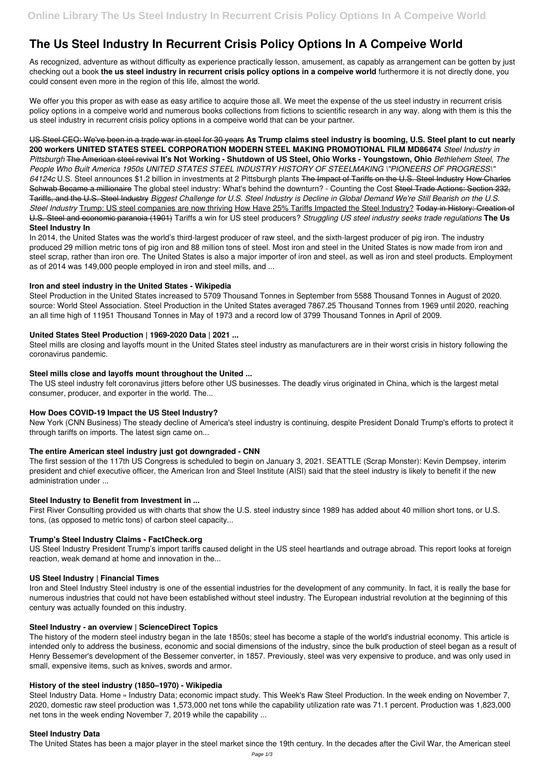# **The Us Steel Industry In Recurrent Crisis Policy Options In A Compeive World**

As recognized, adventure as without difficulty as experience practically lesson, amusement, as capably as arrangement can be gotten by just checking out a book **the us steel industry in recurrent crisis policy options in a compeive world** furthermore it is not directly done, you could consent even more in the region of this life, almost the world.

We offer you this proper as with ease as easy artifice to acquire those all. We meet the expense of the us steel industry in recurrent crisis policy options in a compeive world and numerous books collections from fictions to scientific research in any way. along with them is this the us steel industry in recurrent crisis policy options in a compeive world that can be your partner.

US Steel CEO: We've been in a trade war in steel for 30 years **As Trump claims steel industry is booming, U.S. Steel plant to cut nearly 200 workers UNITED STATES STEEL CORPORATION MODERN STEEL MAKING PROMOTIONAL FILM MD86474** *Steel Industry in Pittsburgh* The American steel revival **It's Not Working - Shutdown of US Steel, Ohio Works - Youngstown, Ohio** *Bethlehem Steel, The People Who Built America 1950s UNITED STATES STEEL INDUSTRY HISTORY OF STEELMAKING \"PIONEERS OF PROGRESS\" 64124c* U.S. Steel announces \$1.2 billion in investments at 2 Pittsburgh plants The Impact of Tariffs on the U.S. Steel Industry How Charles Schwab Became a millionaire The global steel industry: What's behind the downturn? - Counting the Cost Steel Trade Actions: Section 232, Tariffs, and the U.S. Steel Industry *Biggest Challenge for U.S. Steel Industry is Decline in Global Demand We're Still Bearish on the U.S. Steel Industry* Trump: US steel companies are now thriving How Have 25% Tariffs Impacted the Steel Industry? Today in History: Creation of U.S. Steel and economic paranoia (1901) Tariffs a win for US steel producers? *Struggling US steel industry seeks trade regulations* **The Us Steel Industry In**

In 2014, the United States was the world's third-largest producer of raw steel, and the sixth-largest producer of pig iron. The industry produced 29 million metric tons of pig iron and 88 million tons of steel. Most iron and steel in the United States is now made from iron and steel scrap, rather than iron ore. The United States is also a major importer of iron and steel, as well as iron and steel products. Employment as of 2014 was 149,000 people employed in iron and steel mills, and ...

## **Iron and steel industry in the United States - Wikipedia**

Steel Production in the United States increased to 5709 Thousand Tonnes in September from 5588 Thousand Tonnes in August of 2020. source: World Steel Association. Steel Production in the United States averaged 7867.25 Thousand Tonnes from 1969 until 2020, reaching an all time high of 11951 Thousand Tonnes in May of 1973 and a record low of 3799 Thousand Tonnes in April of 2009.

# **United States Steel Production | 1969-2020 Data | 2021 ...**

Steel mills are closing and layoffs mount in the United States steel industry as manufacturers are in their worst crisis in history following the coronavirus pandemic.

# **Steel mills close and layoffs mount throughout the United ...**

The US steel industry felt coronavirus jitters before other US businesses. The deadly virus originated in China, which is the largest metal consumer, producer, and exporter in the world. The...

# **How Does COVID-19 Impact the US Steel Industry?**

New York (CNN Business) The steady decline of America's steel industry is continuing, despite President Donald Trump's efforts to protect it through tariffs on imports. The latest sign came on...

# **The entire American steel industry just got downgraded - CNN**

The first session of the 117th US Congress is scheduled to begin on January 3, 2021. SEATTLE (Scrap Monster): Kevin Dempsey, interim president and chief executive officer, the American Iron and Steel Institute (AISI) said that the steel industry is likely to benefit if the new administration under ...

#### **Steel Industry to Benefit from Investment in ...**

First River Consulting provided us with charts that show the U.S. steel industry since 1989 has added about 40 million short tons, or U.S. tons, (as opposed to metric tons) of carbon steel capacity...

# **Trump's Steel Industry Claims - FactCheck.org**

US Steel Industry President Trump's import tariffs caused delight in the US steel heartlands and outrage abroad. This report looks at foreign reaction, weak demand at home and innovation in the...

#### **US Steel Industry | Financial Times**

Iron and Steel Industry Steel industry is one of the essential industries for the development of any community. In fact, it is really the base for numerous industries that could not have been established without steel industry. The European industrial revolution at the beginning of this century was actually founded on this industry.

#### **Steel Industry - an overview | ScienceDirect Topics**

The history of the modern steel industry began in the late 1850s; steel has become a staple of the world's industrial economy. This article is intended only to address the business, economic and social dimensions of the industry, since the bulk production of steel began as a result of Henry Bessemer's development of the Bessemer converter, in 1857. Previously, steel was very expensive to produce, and was only used in small, expensive items, such as knives, swords and armor.

## **History of the steel industry (1850–1970) - Wikipedia**

Steel Industry Data. Home » Industry Data; economic impact study. This Week's Raw Steel Production. In the week ending on November 7, 2020, domestic raw steel production was 1,573,000 net tons while the capability utilization rate was 71.1 percent. Production was 1,823,000 net tons in the week ending November 7, 2019 while the capability ...

## **Steel Industry Data**

The United States has been a major player in the steel market since the 19th century. In the decades after the Civil War, the American steel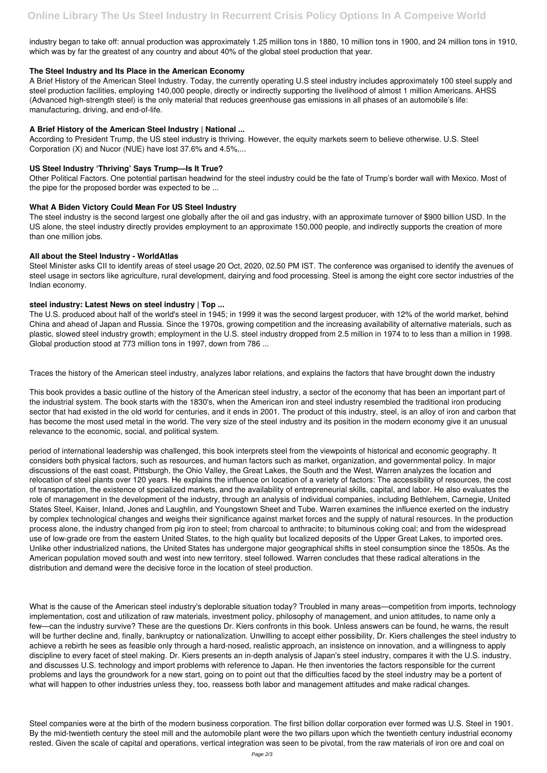industry began to take off: annual production was approximately 1.25 million tons in 1880, 10 million tons in 1900, and 24 million tons in 1910, which was by far the greatest of any country and about 40% of the global steel production that year.

## **The Steel Industry and Its Place in the American Economy**

A Brief History of the American Steel Industry. Today, the currently operating U.S steel industry includes approximately 100 steel supply and steel production facilities, employing 140,000 people, directly or indirectly supporting the livelihood of almost 1 million Americans. AHSS (Advanced high-strength steel) is the only material that reduces greenhouse gas emissions in all phases of an automobile's life: manufacturing, driving, and end-of-life.

# **A Brief History of the American Steel Industry | National ...**

According to President Trump, the US steel industry is thriving. However, the equity markets seem to believe otherwise. U.S. Steel Corporation (X) and Nucor (NUE) have lost 37.6% and 4.5%,...

## **US Steel Industry 'Thriving' Says Trump—Is It True?**

Other Political Factors. One potential partisan headwind for the steel industry could be the fate of Trump's border wall with Mexico. Most of the pipe for the proposed border was expected to be ...

## **What A Biden Victory Could Mean For US Steel Industry**

The steel industry is the second largest one globally after the oil and gas industry, with an approximate turnover of \$900 billion USD. In the US alone, the steel industry directly provides employment to an approximate 150,000 people, and indirectly supports the creation of more than one million jobs.

## **All about the Steel Industry - WorldAtlas**

Steel Minister asks CII to identify areas of steel usage 20 Oct, 2020, 02.50 PM IST. The conference was organised to identify the avenues of steel usage in sectors like agriculture, rural development, dairying and food processing. Steel is among the eight core sector industries of the Indian economy.

#### **steel industry: Latest News on steel industry | Top ...**

The U.S. produced about half of the world's steel in 1945; in 1999 it was the second largest producer, with 12% of the world market, behind China and ahead of Japan and Russia. Since the 1970s, growing competition and the increasing availability of alternative materials, such as plastic, slowed steel industry growth; employment in the U.S. steel industry dropped from 2.5 million in 1974 to to less than a million in 1998. Global production stood at 773 million tons in 1997, down from 786 ...

Traces the history of the American steel industry, analyzes labor relations, and explains the factors that have brought down the industry

This book provides a basic outline of the history of the American steel industry, a sector of the economy that has been an important part of the industrial system. The book starts with the 1830's, when the American iron and steel industry resembled the traditional iron producing sector that had existed in the old world for centuries, and it ends in 2001. The product of this industry, steel, is an alloy of iron and carbon that has become the most used metal in the world. The very size of the steel industry and its position in the modern economy give it an unusual relevance to the economic, social, and political system.

period of international leadership was challenged, this book interprets steel from the viewpoints of historical and economic geography. It considers both physical factors, such as resources, and human factors such as market, organization, and governmental policy. In major discussions of the east coast, Pittsburgh, the Ohio Valley, the Great Lakes, the South and the West, Warren analyzes the location and relocation of steel plants over 120 years. He explains the influence on location of a variety of factors: The accessibility of resources, the cost of transportation, the existence of specialized markets, and the availability of entrepreneurial skills, capital, and labor. He also evaluates the role of management in the development of the industry, through an analysis of individual companies, including Bethlehem, Carnegie, United States Steel, Kaiser, Inland, Jones and Laughlin, and Youngstown Sheet and Tube. Warren examines the influence exerted on the industry by complex technological changes and weighs their significance against market forces and the supply of natural resources. In the production process alone, the industry changed from pig iron to steel; from charcoal to anthracite; to bituminous coking coal; and from the widespread use of low-grade ore from the eastern United States, to the high quality but localized deposits of the Upper Great Lakes, to imported ores. Unlike other industrialized nations, the United States has undergone major geographical shifts in steel consumption since the 1850s. As the American population moved south and west into new territory, steel followed. Warren concludes that these radical alterations in the distribution and demand were the decisive force in the location of steel production.

What is the cause of the American steel industry's deplorable situation today? Troubled in many areas—competition from imports, technology implementation, cost and utilization of raw materials, investment policy, philosophy of management, and union attitudes, to name only a few—can the industry survive? These are the questions Dr. Kiers confronts in this book. Unless answers can be found, he warns, the result will be further decline and, finally, bankruptcy or nationalization. Unwilling to accept either possibility, Dr. Kiers challenges the steel industry to achieve a rebirth he sees as feasible only through a hard-nosed, realistic approach, an insistence on innovation, and a willingness to apply discipline to every facet of steel making. Dr. Kiers presents an in-depth analysis of Japan's steel industry, compares it with the U.S. industry, and discusses U.S. technology and import problems with reference to Japan. He then inventories the factors responsible for the current problems and lays the groundwork for a new start, going on to point out that the difficulties faced by the steel industry may be a portent of what will happen to other industries unless they, too, reassess both labor and management attitudes and make radical changes.

Steel companies were at the birth of the modern business corporation. The first billion dollar corporation ever formed was U.S. Steel in 1901. By the mid-twentieth century the steel mill and the automobile plant were the two pillars upon which the twentieth century industrial economy rested. Given the scale of capital and operations, vertical integration was seen to be pivotal, from the raw materials of iron ore and coal on